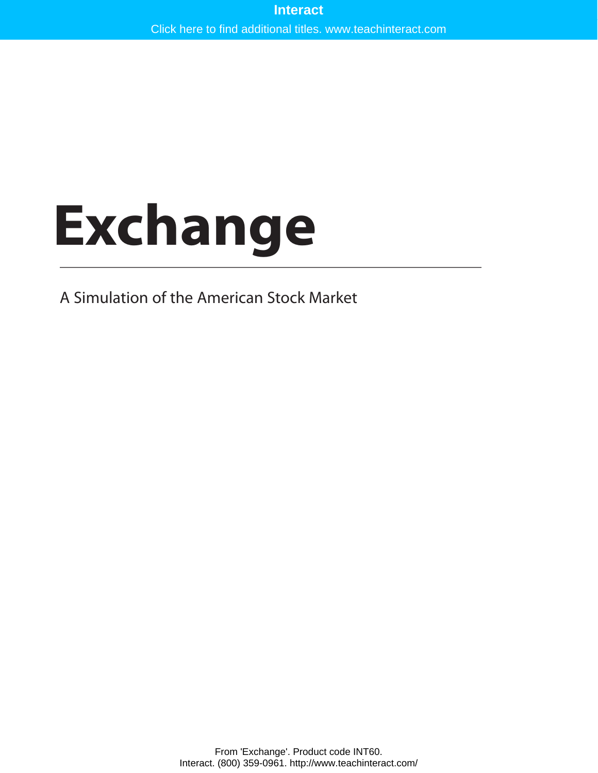# **Exchange**

A Simulation of the American Stock Market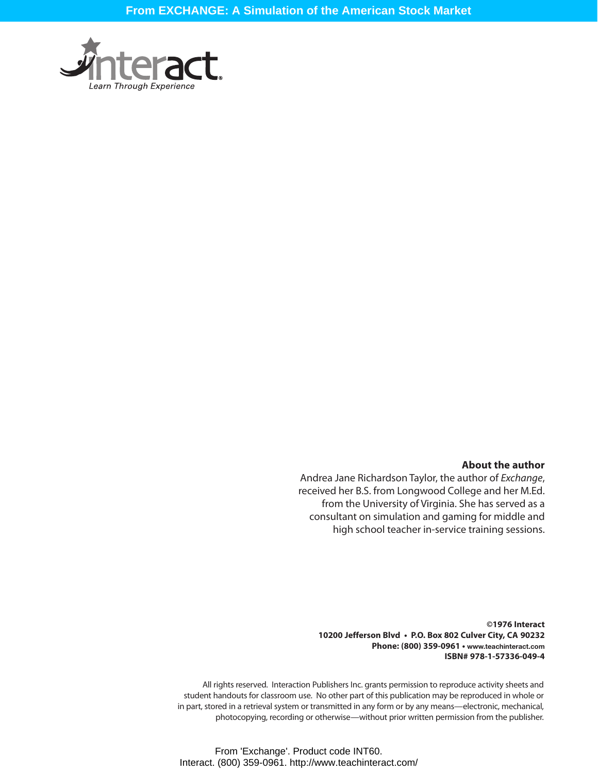

#### **About the author**

Andrea Jane Richardson Taylor, the author of *Exchange*, received her B.S. from Longwood College and her M.Ed. from the University of Virginia. She has served as a consultant on simulation and gaming for middle and high school teacher in-service training sessions.

**©1976 Interact 10200 Jefferson Blvd • P.O. Box 802 Culver City, CA 90232 Phone: (800) 359-0961 • www.teachinteract.com ISBN# 978-1-57336-049-4**

All rights reserved. Interaction Publishers Inc. grants permission to reproduce activity sheets and student handouts for classroom use. No other part of this publication may be reproduced in whole or in part, stored in a retrieval system or transmitted in any form or by any means—electronic, mechanical, photocopying, recording or otherwise—without prior written permission from the publisher.

From 'Exchange'. Product code INT60. Interact. (800) 359-0961. http://www.teachinteract.com/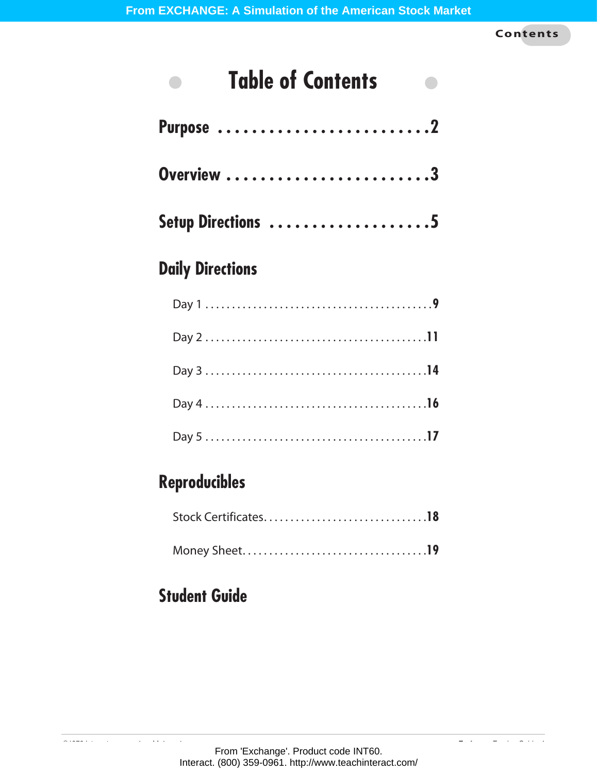**Contents**

#### **Table of Contents**  $\bullet$  $\bullet$

| Purpose 2          |
|--------------------|
| Overview 3         |
| Setup Directions 5 |

# **Daily Directions**

# **Reproducibles**

# **Student Guide**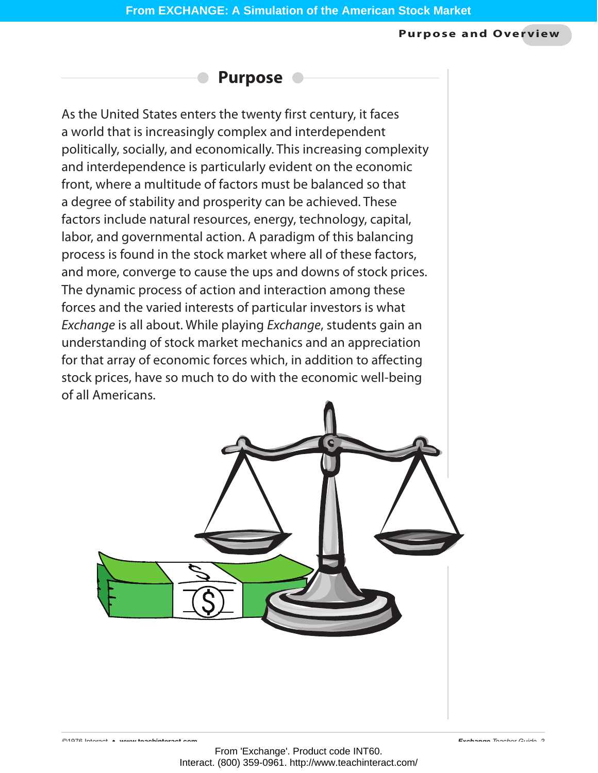#### **Purpose and Overview**



As the United States enters the twenty first century, it faces a world that is increasingly complex and interdependent politically, socially, and economically. This increasing complexity and interdependence is particularly evident on the economic front, where a multitude of factors must be balanced so that a degree of stability and prosperity can be achieved. These factors include natural resources, energy, technology, capital, labor, and governmental action. A paradigm of this balancing process is found in the stock market where all of these factors, and more, converge to cause the ups and downs of stock prices. The dynamic process of action and interaction among these forces and the varied interests of particular investors is what *Exchange* is all about. While playing *Exchange*, students gain an understanding of stock market mechanics and an appreciation for that array of economic forces which, in addition to affecting stock prices, have so much to do with the economic well-being of all Americans.

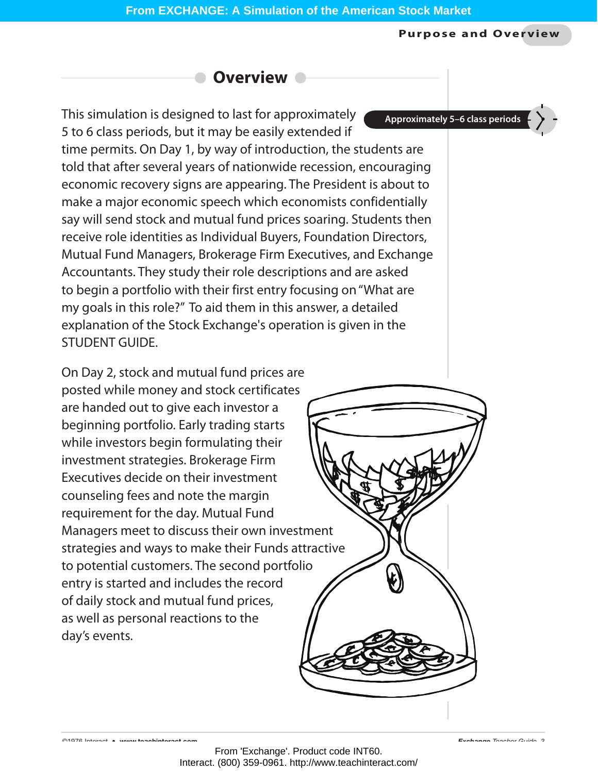#### **Purpose and Overview**

# **Overview**

This simulation is designed to last for approximately 5 to 6 class periods, but it may be easily extended if time permits. On Day 1, by way of introduction, the students are told that after several years of nationwide recession, encouraging economic recovery signs are appearing. The President is about to make a major economic speech which economists confidentially say will send stock and mutual fund prices soaring. Students then receive role identities as Individual Buyers, Foundation Directors, Mutual Fund Managers, Brokerage Firm Executives, and Exchange Accountants. They study their role descriptions and are asked to begin a portfolio with their first entry focusing on "What are my goals in this role?" To aid them in this answer, a detailed explanation of the Stock Exchange's operation is given in the STUDENT GUIDE.

On Day 2, stock and mutual fund prices are posted while money and stock certificates are handed out to give each investor a beginning portfolio. Early trading starts while investors begin formulating their investment strategies. Brokerage Firm Executives decide on their investment counseling fees and note the margin requirement for the day. Mutual Fund Managers meet to discuss their own investment strategies and ways to make their Funds attractive to potential customers. The second portfolio entry is started and includes the record of daily stock and mutual fund prices, as well as personal reactions to the day's events.

**Approximately 5–6 class periods**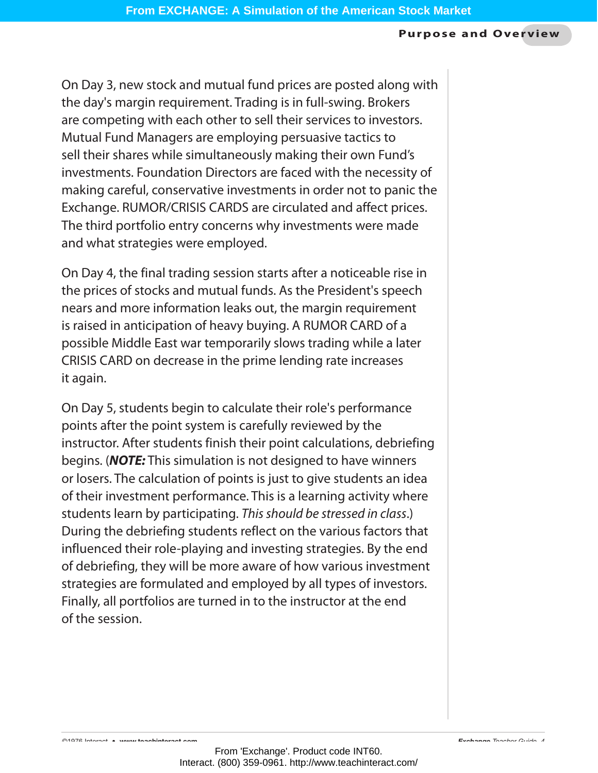#### **Purpose and Overview**

On Day 3, new stock and mutual fund prices are posted along with the day's margin requirement. Trading is in full-swing. Brokers are competing with each other to sell their services to investors. Mutual Fund Managers are employing persuasive tactics to sell their shares while simultaneously making their own Fund's investments. Foundation Directors are faced with the necessity of making careful, conservative investments in order not to panic the Exchange. RUMOR/CRISIS CARDS are circulated and affect prices. The third portfolio entry concerns why investments were made and what strategies were employed.

On Day 4, the final trading session starts after a noticeable rise in the prices of stocks and mutual funds. As the President's speech nears and more information leaks out, the margin requirement is raised in anticipation of heavy buying. A RUMOR CARD of a possible Middle East war temporarily slows trading while a later CRISIS CARD on decrease in the prime lending rate increases it again.

On Day 5, students begin to calculate their role's performance points after the point system is carefully reviewed by the instructor. After students finish their point calculations, debriefing begins. (*NOTE:* This simulation is not designed to have winners or losers. The calculation of points is just to give students an idea of their investment performance. This is a learning activity where students learn by participating. *This should be stressed in class*.) During the debriefing students reflect on the various factors that influenced their role-playing and investing strategies. By the end of debriefing, they will be more aware of how various investment strategies are formulated and employed by all types of investors. Finally, all portfolios are turned in to the instructor at the end of the session.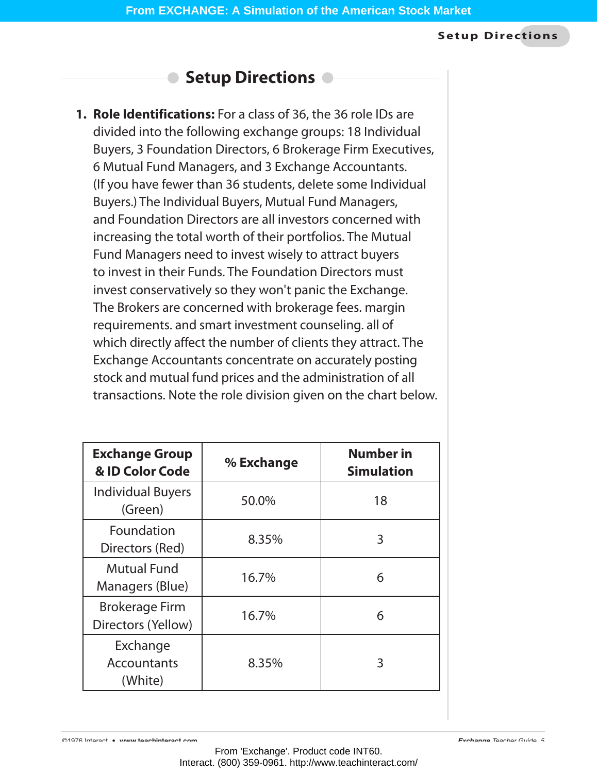# **Setup Directions**

**1. Role Identifications:** For a class of 36, the 36 role IDs are divided into the following exchange groups: 18 Individual Buyers, 3 Foundation Directors, 6 Brokerage Firm Executives, 6 Mutual Fund Managers, and 3 Exchange Accountants. (If you have fewer than 36 students, delete some Individual Buyers.) The Individual Buyers, Mutual Fund Managers, and Foundation Directors are all investors concerned with increasing the total worth of their portfolios. The Mutual Fund Managers need to invest wisely to attract buyers to invest in their Funds. The Foundation Directors must invest conservatively so they won't panic the Exchange. The Brokers are concerned with brokerage fees. margin requirements. and smart investment counseling. all of which directly affect the number of clients they attract. The Exchange Accountants concentrate on accurately posting stock and mutual fund prices and the administration of all transactions. Note the role division given on the chart below.

| <b>Exchange Group</b><br>& ID Color Code    | % Exchange | <b>Number in</b><br><b>Simulation</b> |
|---------------------------------------------|------------|---------------------------------------|
| <b>Individual Buyers</b><br>(Green)         | 50.0%      | 18                                    |
| Foundation<br>Directors (Red)               | 8.35%      | 3                                     |
| <b>Mutual Fund</b><br>Managers (Blue)       | 16.7%      | 6                                     |
| <b>Brokerage Firm</b><br>Directors (Yellow) | 16.7%      | 6                                     |
| Exchange<br><b>Accountants</b><br>(White)   | 8.35%      | 3                                     |

©1976 Interact • **www.teachinteract.com** *Exchange Teacher Guide 5*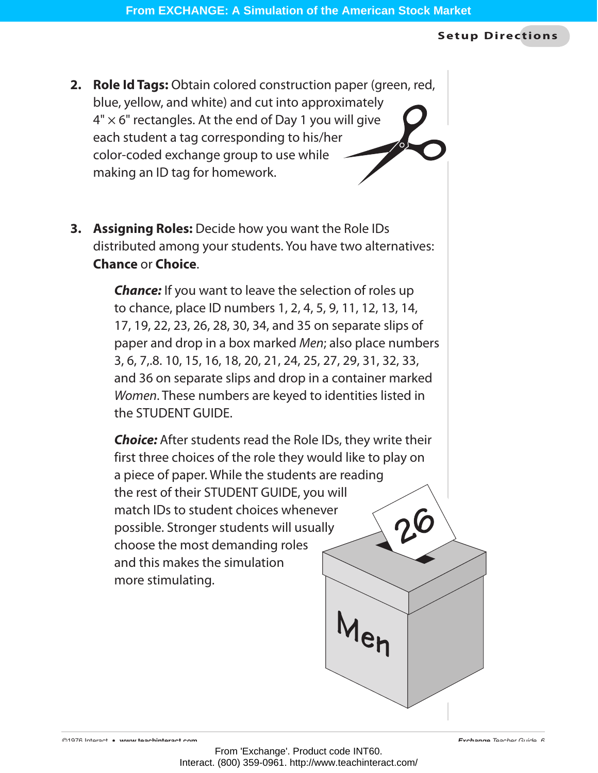- **2. Role Id Tags:** Obtain colored construction paper (green, red, blue, yellow, and white) and cut into approximately  $4" \times 6"$  rectangles. At the end of Day 1 you will give each student a tag corresponding to his/her color-coded exchange group to use while making an ID tag for homework.
- **3. Assigning Roles:** Decide how you want the Role IDs distributed among your students. You have two alternatives: **Chance** or **Choice**.

**Chance:** If you want to leave the selection of roles up to chance, place ID numbers 1, 2, 4, 5, 9, 11, 12, 13, 14, 17, 19, 22, 23, 26, 28, 30, 34, and 35 on separate slips of paper and drop in a box marked *Men*; also place numbers 3, 6, 7,.8. 10, 15, 16, 18, 20, 21, 24, 25, 27, 29, 31, 32, 33, and 36 on separate slips and drop in a container marked *Women*. These numbers are keyed to identities listed in the STUDENT GUIDE.

*Choice:* After students read the Role IDs, they write their first three choices of the role they would like to play on a piece of paper. While the students are reading the rest of their STUDENT GUIDE, you will match IDs to student choices whenever possible. Stronger students will usually choose the most demanding roles and this makes the simulation more stimulating.

 $M_{\mathbf{e}}$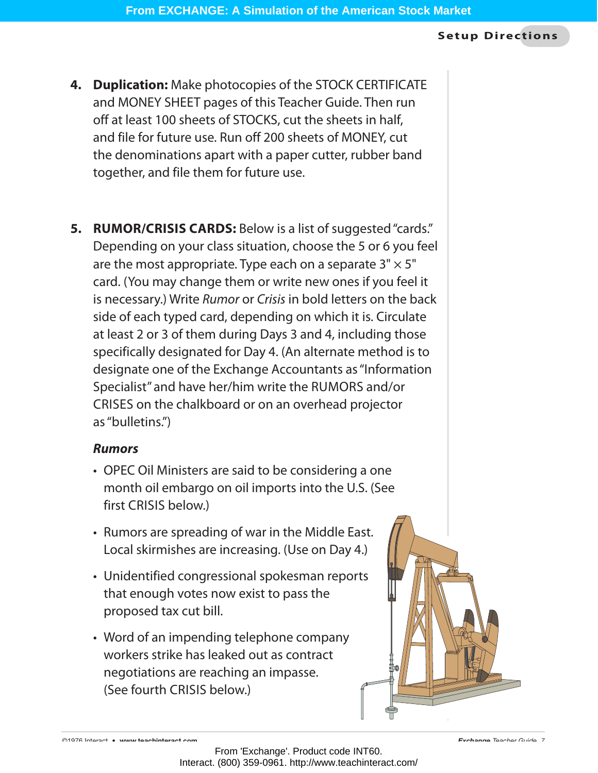- **4. Duplication:** Make photocopies of the STOCK CERTIFICATE and MONEY SHEET pages of this Teacher Guide. Then run off at least 100 sheets of STOCKS, cut the sheets in half, and file for future use. Run off 200 sheets of MONEY, cut the denominations apart with a paper cutter, rubber band together, and file them for future use.
- **5. RUMOR/CRISIS CARDS:** Below is a list of suggested "cards." Depending on your class situation, choose the 5 or 6 you feel are the most appropriate. Type each on a separate  $3" \times 5"$ card. (You may change them or write new ones if you feel it is necessary.) Write *Rumor* or *Crisis* in bold letters on the back side of each typed card, depending on which it is. Circulate at least 2 or 3 of them during Days 3 and 4, including those specifically designated for Day 4. (An alternate method is to designate one of the Exchange Accountants as "Information Specialist" and have her/him write the RUMORS and/or CRISES on the chalkboard or on an overhead projector as"bulletins.")

# *Rumors*

- OPEC Oil Ministers are said to be considering a one month oil embargo on oil imports into the U.S. (See first CRISIS below.)
- Rumors are spreading of war in the Middle East. Local skirmishes are increasing. (Use on Day 4.)
- Unidentified congressional spokesman reports that enough votes now exist to pass the proposed tax cut bill.
- Word of an impending telephone company workers strike has leaked out as contract negotiations are reaching an impasse. (See fourth CRISIS below.)

©1976 Interact • **www.teachinteract.com** *Exchange Teacher Guide 7*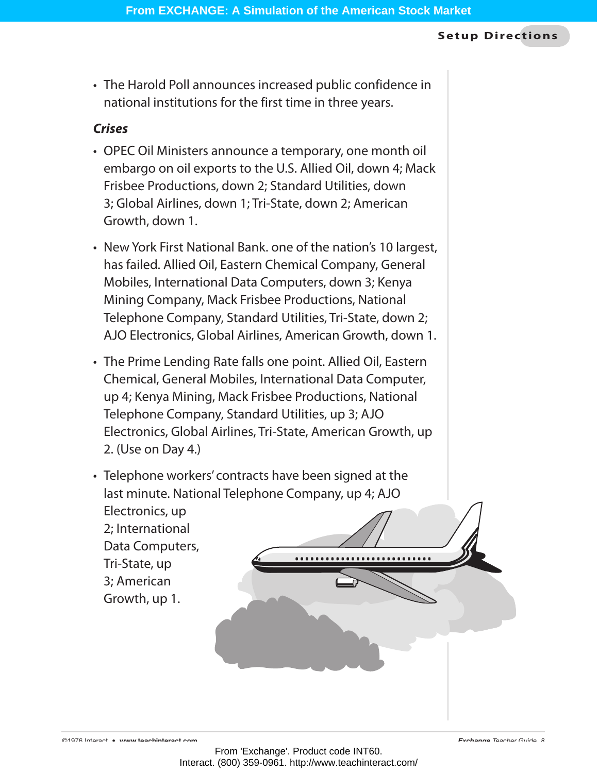• The Harold Poll announces increased public confidence in national institutions for the first time in three years.

## *Crises*

- OPEC Oil Ministers announce a temporary, one month oil embargo on oil exports to the U.S. Allied Oil, down 4; Mack Frisbee Productions, down 2; Standard Utilities, down 3; Global Airlines, down 1; Tri-State, down 2; American Growth, down 1.
- New York First National Bank. one of the nation's 10 largest, has failed. Allied Oil, Eastern Chemical Company, General Mobiles, International Data Computers, down 3; Kenya Mining Company, Mack Frisbee Productions, National Telephone Company, Standard Utilities, Tri-State, down 2; AJO Electronics, Global Airlines, American Growth, down 1.
- The Prime Lending Rate falls one point. Allied Oil, Eastern Chemical, General Mobiles, International Data Computer, up 4; Kenya Mining, Mack Frisbee Productions, National Telephone Company, Standard Utilities, up 3; AJO Electronics, Global Airlines, Tri-State, American Growth, up 2. (Use on Day 4.)
- Telephone workers' contracts have been signed at the last minute. National Telephone Company, up 4; AJO Electronics, up 2; International Data Computers, Tri-State, up 3; American Growth, up 1.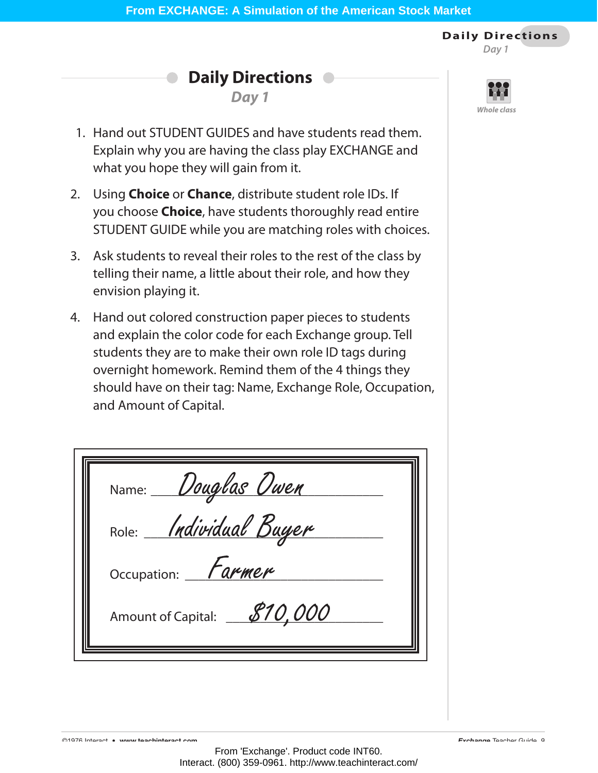**Daily Directions** *Day 1*

**Daily Directions**

*Day 1*



- 1. Hand out STUDENT GUIDES and have students read them. Explain why you are having the class play EXCHANGE and what you hope they will gain from it.
- 2. Using **Choice** or **Chance**, distribute student role IDs. If you choose **Choice**, have students thoroughly read entire STUDENT GUIDE while you are matching roles with choices.
- 3. Ask students to reveal their roles to the rest of the class by telling their name, a little about their role, and how they envision playing it.
- 4. Hand out colored construction paper pieces to students and explain the color code for each Exchange group. Tell students they are to make their own role ID tags during overnight homework. Remind them of the 4 things they should have on their tag: Name, Exchange Role, Occupation, and Amount of Capital.

| Name: Douglas Owen            |  |
|-------------------------------|--|
| Role: <i>Individual Buyer</i> |  |
| Occupation: <i>Farmer</i>     |  |
| Amount of Capital: 810,000    |  |